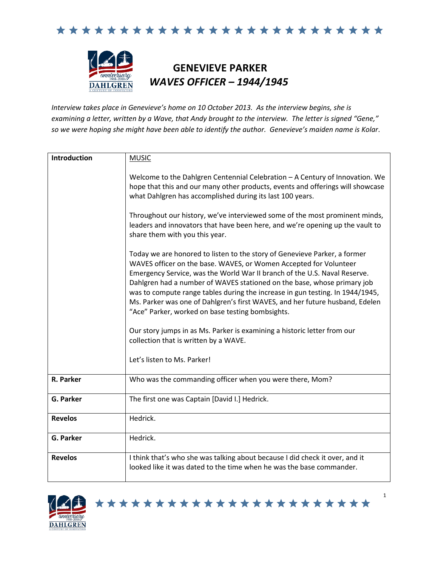

## **GENEVIEVE PARKER** *WAVES OFFICER – 1944/1945*

*Interview takes place in Genevieve's home on 10 October 2013. As the interview begins, she is examining a letter, written by a Wave, that Andy brought to the interview. The letter is signed "Gene," so we were hoping she might have been able to identify the author. Genevieve's maiden name is Kolar*.

| Introduction   | <b>MUSIC</b>                                                                                                                                                                                                                                                                                                                                                                                                                                                                                                                |
|----------------|-----------------------------------------------------------------------------------------------------------------------------------------------------------------------------------------------------------------------------------------------------------------------------------------------------------------------------------------------------------------------------------------------------------------------------------------------------------------------------------------------------------------------------|
|                | Welcome to the Dahlgren Centennial Celebration - A Century of Innovation. We<br>hope that this and our many other products, events and offerings will showcase<br>what Dahlgren has accomplished during its last 100 years.                                                                                                                                                                                                                                                                                                 |
|                | Throughout our history, we've interviewed some of the most prominent minds,<br>leaders and innovators that have been here, and we're opening up the vault to<br>share them with you this year.                                                                                                                                                                                                                                                                                                                              |
|                | Today we are honored to listen to the story of Genevieve Parker, a former<br>WAVES officer on the base. WAVES, or Women Accepted for Volunteer<br>Emergency Service, was the World War II branch of the U.S. Naval Reserve.<br>Dahlgren had a number of WAVES stationed on the base, whose primary job<br>was to compute range tables during the increase in gun testing. In 1944/1945,<br>Ms. Parker was one of Dahlgren's first WAVES, and her future husband, Edelen<br>"Ace" Parker, worked on base testing bombsights. |
|                | Our story jumps in as Ms. Parker is examining a historic letter from our<br>collection that is written by a WAVE.                                                                                                                                                                                                                                                                                                                                                                                                           |
|                | Let's listen to Ms. Parker!                                                                                                                                                                                                                                                                                                                                                                                                                                                                                                 |
| R. Parker      | Who was the commanding officer when you were there, Mom?                                                                                                                                                                                                                                                                                                                                                                                                                                                                    |
| G. Parker      | The first one was Captain [David I.] Hedrick.                                                                                                                                                                                                                                                                                                                                                                                                                                                                               |
| <b>Revelos</b> | Hedrick.                                                                                                                                                                                                                                                                                                                                                                                                                                                                                                                    |
| G. Parker      | Hedrick.                                                                                                                                                                                                                                                                                                                                                                                                                                                                                                                    |
| <b>Revelos</b> | I think that's who she was talking about because I did check it over, and it<br>looked like it was dated to the time when he was the base commander.                                                                                                                                                                                                                                                                                                                                                                        |

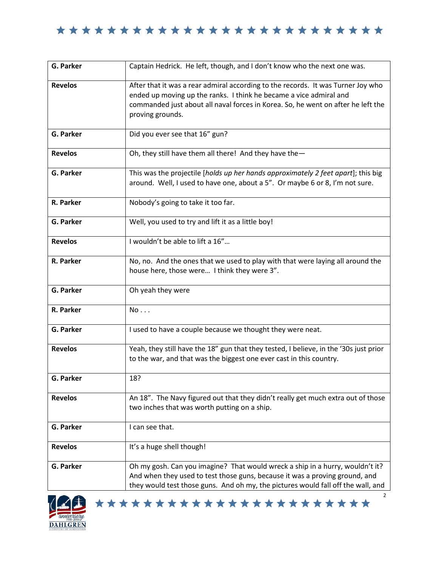| <b>G. Parker</b> | Captain Hedrick. He left, though, and I don't know who the next one was.                                                                                                                                                                                       |
|------------------|----------------------------------------------------------------------------------------------------------------------------------------------------------------------------------------------------------------------------------------------------------------|
| <b>Revelos</b>   | After that it was a rear admiral according to the records. It was Turner Joy who<br>ended up moving up the ranks. I think he became a vice admiral and<br>commanded just about all naval forces in Korea. So, he went on after he left the<br>proving grounds. |
| <b>G. Parker</b> | Did you ever see that 16" gun?                                                                                                                                                                                                                                 |
| <b>Revelos</b>   | Oh, they still have them all there! And they have the-                                                                                                                                                                                                         |
| <b>G. Parker</b> | This was the projectile [holds up her hands approximately 2 feet apart]; this big<br>around. Well, I used to have one, about a 5". Or maybe 6 or 8, I'm not sure.                                                                                              |
| R. Parker        | Nobody's going to take it too far.                                                                                                                                                                                                                             |
| <b>G. Parker</b> | Well, you used to try and lift it as a little boy!                                                                                                                                                                                                             |
| <b>Revelos</b>   | I wouldn't be able to lift a 16"                                                                                                                                                                                                                               |
| R. Parker        | No, no. And the ones that we used to play with that were laying all around the<br>house here, those were I think they were 3".                                                                                                                                 |
| <b>G. Parker</b> | Oh yeah they were                                                                                                                                                                                                                                              |
| R. Parker        | No                                                                                                                                                                                                                                                             |
| <b>G. Parker</b> | I used to have a couple because we thought they were neat.                                                                                                                                                                                                     |
| <b>Revelos</b>   | Yeah, they still have the 18" gun that they tested, I believe, in the '30s just prior<br>to the war, and that was the biggest one ever cast in this country.                                                                                                   |
| G. Parker        | 18?                                                                                                                                                                                                                                                            |
| <b>Revelos</b>   | An 18". The Navy figured out that they didn't really get much extra out of those<br>two inches that was worth putting on a ship.                                                                                                                               |
| G. Parker        | I can see that.                                                                                                                                                                                                                                                |
| <b>Revelos</b>   | It's a huge shell though!                                                                                                                                                                                                                                      |
| G. Parker        | Oh my gosh. Can you imagine? That would wreck a ship in a hurry, wouldn't it?<br>And when they used to test those guns, because it was a proving ground, and<br>they would test those guns. And oh my, the pictures would fall off the wall, and               |



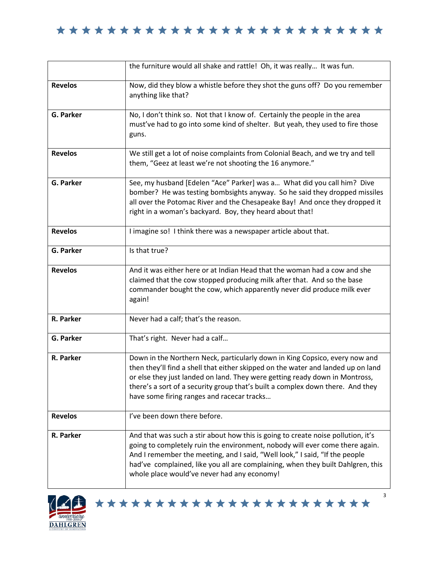|                  | the furniture would all shake and rattle! Oh, it was really It was fun.                                                                                                                                                                                                                                                                                                           |
|------------------|-----------------------------------------------------------------------------------------------------------------------------------------------------------------------------------------------------------------------------------------------------------------------------------------------------------------------------------------------------------------------------------|
| <b>Revelos</b>   | Now, did they blow a whistle before they shot the guns off? Do you remember<br>anything like that?                                                                                                                                                                                                                                                                                |
| <b>G. Parker</b> | No, I don't think so. Not that I know of. Certainly the people in the area<br>must've had to go into some kind of shelter. But yeah, they used to fire those<br>guns.                                                                                                                                                                                                             |
| <b>Revelos</b>   | We still get a lot of noise complaints from Colonial Beach, and we try and tell<br>them, "Geez at least we're not shooting the 16 anymore."                                                                                                                                                                                                                                       |
| <b>G. Parker</b> | See, my husband [Edelen "Ace" Parker] was a What did you call him? Dive<br>bomber? He was testing bombsights anyway. So he said they dropped missiles<br>all over the Potomac River and the Chesapeake Bay! And once they dropped it<br>right in a woman's backyard. Boy, they heard about that!                                                                                  |
| <b>Revelos</b>   | I imagine so! I think there was a newspaper article about that.                                                                                                                                                                                                                                                                                                                   |
| <b>G. Parker</b> | Is that true?                                                                                                                                                                                                                                                                                                                                                                     |
| <b>Revelos</b>   | And it was either here or at Indian Head that the woman had a cow and she<br>claimed that the cow stopped producing milk after that. And so the base<br>commander bought the cow, which apparently never did produce milk ever<br>again!                                                                                                                                          |
| R. Parker        | Never had a calf; that's the reason.                                                                                                                                                                                                                                                                                                                                              |
| G. Parker        | That's right. Never had a calf                                                                                                                                                                                                                                                                                                                                                    |
| R. Parker        | Down in the Northern Neck, particularly down in King Copsico, every now and<br>then they'll find a shell that either skipped on the water and landed up on land<br>or else they just landed on land. They were getting ready down in Montross,<br>there's a sort of a security group that's built a complex down there. And they<br>have some firing ranges and racecar tracks    |
| <b>Revelos</b>   | I've been down there before.                                                                                                                                                                                                                                                                                                                                                      |
| R. Parker        | And that was such a stir about how this is going to create noise pollution, it's<br>going to completely ruin the environment, nobody will ever come there again.<br>And I remember the meeting, and I said, "Well look," I said, "If the people<br>had've complained, like you all are complaining, when they built Dahlgren, this<br>whole place would've never had any economy! |





3

a l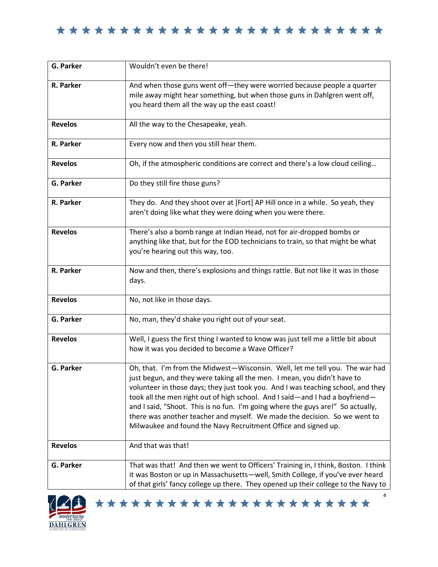| <b>G. Parker</b> | Wouldn't even be there!                                                                                                                                                                                                                                                                                                                                                                                                                                                                                                                                        |
|------------------|----------------------------------------------------------------------------------------------------------------------------------------------------------------------------------------------------------------------------------------------------------------------------------------------------------------------------------------------------------------------------------------------------------------------------------------------------------------------------------------------------------------------------------------------------------------|
| R. Parker        | And when those guns went off-they were worried because people a quarter<br>mile away might hear something, but when those guns in Dahlgren went off,<br>you heard them all the way up the east coast!                                                                                                                                                                                                                                                                                                                                                          |
| <b>Revelos</b>   | All the way to the Chesapeake, yeah.                                                                                                                                                                                                                                                                                                                                                                                                                                                                                                                           |
| R. Parker        | Every now and then you still hear them.                                                                                                                                                                                                                                                                                                                                                                                                                                                                                                                        |
| <b>Revelos</b>   | Oh, if the atmospheric conditions are correct and there's a low cloud ceiling                                                                                                                                                                                                                                                                                                                                                                                                                                                                                  |
| G. Parker        | Do they still fire those guns?                                                                                                                                                                                                                                                                                                                                                                                                                                                                                                                                 |
| R. Parker        | They do. And they shoot over at [Fort] AP Hill once in a while. So yeah, they<br>aren't doing like what they were doing when you were there.                                                                                                                                                                                                                                                                                                                                                                                                                   |
| <b>Revelos</b>   | There's also a bomb range at Indian Head, not for air-dropped bombs or<br>anything like that, but for the EOD technicians to train, so that might be what<br>you're hearing out this way, too.                                                                                                                                                                                                                                                                                                                                                                 |
| R. Parker        | Now and then, there's explosions and things rattle. But not like it was in those<br>days.                                                                                                                                                                                                                                                                                                                                                                                                                                                                      |
| <b>Revelos</b>   | No, not like in those days.                                                                                                                                                                                                                                                                                                                                                                                                                                                                                                                                    |
| G. Parker        | No, man, they'd shake you right out of your seat.                                                                                                                                                                                                                                                                                                                                                                                                                                                                                                              |
| <b>Revelos</b>   | Well, I guess the first thing I wanted to know was just tell me a little bit about<br>how it was you decided to become a Wave Officer?                                                                                                                                                                                                                                                                                                                                                                                                                         |
| <b>G. Parker</b> | Oh, that. I'm from the Midwest-Wisconsin. Well, let me tell you. The war had<br>just begun, and they were taking all the men. I mean, you didn't have to<br>volunteer in those days; they just took you. And I was teaching school, and they<br>took all the men right out of high school. And I said-and I had a boyfriend-<br>and I said, "Shoot. This is no fun. I'm going where the guys are!" So actually,<br>there was another teacher and myself. We made the decision. So we went to<br>Milwaukee and found the Navy Recruitment Office and signed up. |
| <b>Revelos</b>   | And that was that!                                                                                                                                                                                                                                                                                                                                                                                                                                                                                                                                             |
| G. Parker        | That was that! And then we went to Officers' Training in, I think, Boston. I think<br>it was Boston or up in Massachusetts-well, Smith College, if you've ever heard<br>of that girls' fancy college up there. They opened up their college to the Navy to                                                                                                                                                                                                                                                                                                     |

\*\*\*\*\*\*\*\*\*\*\*\*\*\*\*\*\*\*\*\*\*\*\*

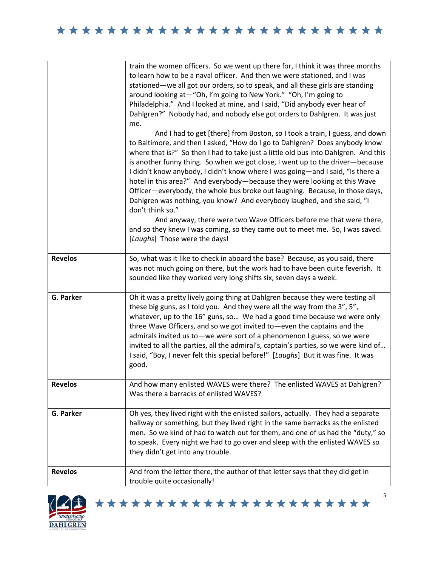|                  | train the women officers. So we went up there for, I think it was three months<br>to learn how to be a naval officer. And then we were stationed, and I was<br>stationed—we all got our orders, so to speak, and all these girls are standing<br>around looking at-"Oh, I'm going to New York." "Oh, I'm going to<br>Philadelphia." And I looked at mine, and I said, "Did anybody ever hear of<br>Dahlgren?" Nobody had, and nobody else got orders to Dahlgren. It was just<br>me.<br>And I had to get [there] from Boston, so I took a train, I guess, and down<br>to Baltimore, and then I asked, "How do I go to Dahlgren? Does anybody know<br>where that is?" So then I had to take just a little old bus into Dahlgren. And this<br>is another funny thing. So when we got close, I went up to the driver-because<br>I didn't know anybody, I didn't know where I was going—and I said, "Is there a<br>hotel in this area?" And everybody—because they were looking at this Wave<br>Officer-everybody, the whole bus broke out laughing. Because, in those days,<br>Dahlgren was nothing, you know? And everybody laughed, and she said, "I<br>don't think so."<br>And anyway, there were two Wave Officers before me that were there,<br>and so they knew I was coming, so they came out to meet me. So, I was saved.<br>[Laughs] Those were the days! |
|------------------|-----------------------------------------------------------------------------------------------------------------------------------------------------------------------------------------------------------------------------------------------------------------------------------------------------------------------------------------------------------------------------------------------------------------------------------------------------------------------------------------------------------------------------------------------------------------------------------------------------------------------------------------------------------------------------------------------------------------------------------------------------------------------------------------------------------------------------------------------------------------------------------------------------------------------------------------------------------------------------------------------------------------------------------------------------------------------------------------------------------------------------------------------------------------------------------------------------------------------------------------------------------------------------------------------------------------------------------------------------------------|
| <b>Revelos</b>   | So, what was it like to check in aboard the base? Because, as you said, there<br>was not much going on there, but the work had to have been quite feverish. It<br>sounded like they worked very long shifts six, seven days a week.                                                                                                                                                                                                                                                                                                                                                                                                                                                                                                                                                                                                                                                                                                                                                                                                                                                                                                                                                                                                                                                                                                                             |
| <b>G. Parker</b> | Oh it was a pretty lively going thing at Dahlgren because they were testing all<br>these big guns, as I told you. And they were all the way from the 3", 5",<br>whatever, up to the 16" guns, so We had a good time because we were only<br>three Wave Officers, and so we got invited to-even the captains and the<br>admirals invited us to-we were sort of a phenomenon I guess, so we were<br>invited to all the parties, all the admiral's, captain's parties, so we were kind of<br>I said, "Boy, I never felt this special before!" [Laughs] But it was fine. It was<br>good.                                                                                                                                                                                                                                                                                                                                                                                                                                                                                                                                                                                                                                                                                                                                                                            |
| <b>Revelos</b>   | And how many enlisted WAVES were there? The enlisted WAVES at Dahlgren?<br>Was there a barracks of enlisted WAVES?                                                                                                                                                                                                                                                                                                                                                                                                                                                                                                                                                                                                                                                                                                                                                                                                                                                                                                                                                                                                                                                                                                                                                                                                                                              |
| <b>G. Parker</b> | Oh yes, they lived right with the enlisted sailors, actually. They had a separate<br>hallway or something, but they lived right in the same barracks as the enlisted<br>men. So we kind of had to watch out for them, and one of us had the "duty," so<br>to speak. Every night we had to go over and sleep with the enlisted WAVES so<br>they didn't get into any trouble.                                                                                                                                                                                                                                                                                                                                                                                                                                                                                                                                                                                                                                                                                                                                                                                                                                                                                                                                                                                     |
| <b>Revelos</b>   | And from the letter there, the author of that letter says that they did get in<br>trouble quite occasionally!                                                                                                                                                                                                                                                                                                                                                                                                                                                                                                                                                                                                                                                                                                                                                                                                                                                                                                                                                                                                                                                                                                                                                                                                                                                   |

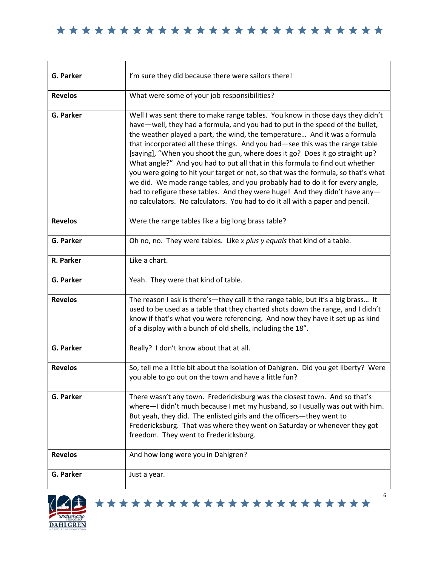| G. Parker        | I'm sure they did because there were sailors there!                                                                                                                                                                                                                                                                                                                                                                                                                                                                                                                                                                                                                                                                                                                                                                               |
|------------------|-----------------------------------------------------------------------------------------------------------------------------------------------------------------------------------------------------------------------------------------------------------------------------------------------------------------------------------------------------------------------------------------------------------------------------------------------------------------------------------------------------------------------------------------------------------------------------------------------------------------------------------------------------------------------------------------------------------------------------------------------------------------------------------------------------------------------------------|
| <b>Revelos</b>   | What were some of your job responsibilities?                                                                                                                                                                                                                                                                                                                                                                                                                                                                                                                                                                                                                                                                                                                                                                                      |
| <b>G. Parker</b> | Well I was sent there to make range tables. You know in those days they didn't<br>have-well, they had a formula, and you had to put in the speed of the bullet,<br>the weather played a part, the wind, the temperature And it was a formula<br>that incorporated all these things. And you had-see this was the range table<br>[saying], "When you shoot the gun, where does it go? Does it go straight up?<br>What angle?" And you had to put all that in this formula to find out whether<br>you were going to hit your target or not, so that was the formula, so that's what<br>we did. We made range tables, and you probably had to do it for every angle,<br>had to refigure these tables. And they were huge! And they didn't have any-<br>no calculators. No calculators. You had to do it all with a paper and pencil. |
| <b>Revelos</b>   | Were the range tables like a big long brass table?                                                                                                                                                                                                                                                                                                                                                                                                                                                                                                                                                                                                                                                                                                                                                                                |
| G. Parker        | Oh no, no. They were tables. Like x plus y equals that kind of a table.                                                                                                                                                                                                                                                                                                                                                                                                                                                                                                                                                                                                                                                                                                                                                           |
| R. Parker        | Like a chart.                                                                                                                                                                                                                                                                                                                                                                                                                                                                                                                                                                                                                                                                                                                                                                                                                     |
| G. Parker        | Yeah. They were that kind of table.                                                                                                                                                                                                                                                                                                                                                                                                                                                                                                                                                                                                                                                                                                                                                                                               |
| <b>Revelos</b>   | The reason I ask is there's-they call it the range table, but it's a big brass It<br>used to be used as a table that they charted shots down the range, and I didn't<br>know if that's what you were referencing. And now they have it set up as kind<br>of a display with a bunch of old shells, including the 18".                                                                                                                                                                                                                                                                                                                                                                                                                                                                                                              |
| G. Parker        | Really? I don't know about that at all.                                                                                                                                                                                                                                                                                                                                                                                                                                                                                                                                                                                                                                                                                                                                                                                           |
| <b>Revelos</b>   | So, tell me a little bit about the isolation of Dahlgren. Did you get liberty? Were<br>you able to go out on the town and have a little fun?                                                                                                                                                                                                                                                                                                                                                                                                                                                                                                                                                                                                                                                                                      |
| G. Parker        | There wasn't any town. Fredericksburg was the closest town. And so that's<br>where-I didn't much because I met my husband, so I usually was out with him.<br>But yeah, they did. The enlisted girls and the officers-they went to<br>Fredericksburg. That was where they went on Saturday or whenever they got<br>freedom. They went to Fredericksburg.                                                                                                                                                                                                                                                                                                                                                                                                                                                                           |
| <b>Revelos</b>   | And how long were you in Dahlgren?                                                                                                                                                                                                                                                                                                                                                                                                                                                                                                                                                                                                                                                                                                                                                                                                |
| G. Parker        | Just a year.                                                                                                                                                                                                                                                                                                                                                                                                                                                                                                                                                                                                                                                                                                                                                                                                                      |



\*\*\*\*\*\*\*\*\*\*\*\*\*\*\*\*\*\*\*\*\*\*\*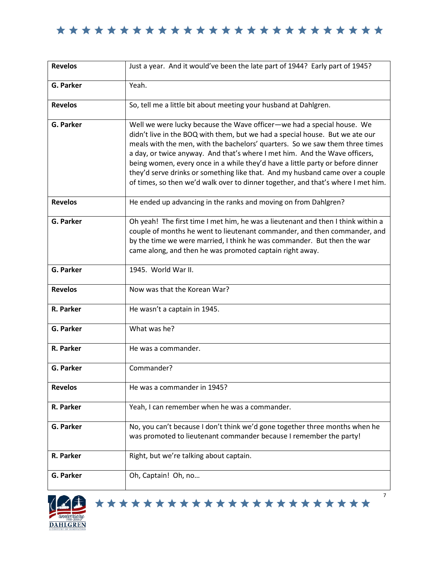| <b>Revelos</b>   | Just a year. And it would've been the late part of 1944? Early part of 1945?                                                                                                                                                                                                                                                                                                                                                                                                                                                                                                |
|------------------|-----------------------------------------------------------------------------------------------------------------------------------------------------------------------------------------------------------------------------------------------------------------------------------------------------------------------------------------------------------------------------------------------------------------------------------------------------------------------------------------------------------------------------------------------------------------------------|
| G. Parker        | Yeah.                                                                                                                                                                                                                                                                                                                                                                                                                                                                                                                                                                       |
| <b>Revelos</b>   | So, tell me a little bit about meeting your husband at Dahlgren.                                                                                                                                                                                                                                                                                                                                                                                                                                                                                                            |
| G. Parker        | Well we were lucky because the Wave officer-we had a special house. We<br>didn't live in the BOQ with them, but we had a special house. But we ate our<br>meals with the men, with the bachelors' quarters. So we saw them three times<br>a day, or twice anyway. And that's where I met him. And the Wave officers,<br>being women, every once in a while they'd have a little party or before dinner<br>they'd serve drinks or something like that. And my husband came over a couple<br>of times, so then we'd walk over to dinner together, and that's where I met him. |
| <b>Revelos</b>   | He ended up advancing in the ranks and moving on from Dahlgren?                                                                                                                                                                                                                                                                                                                                                                                                                                                                                                             |
| G. Parker        | Oh yeah! The first time I met him, he was a lieutenant and then I think within a<br>couple of months he went to lieutenant commander, and then commander, and<br>by the time we were married, I think he was commander. But then the war<br>came along, and then he was promoted captain right away.                                                                                                                                                                                                                                                                        |
| G. Parker        | 1945. World War II.                                                                                                                                                                                                                                                                                                                                                                                                                                                                                                                                                         |
| <b>Revelos</b>   | Now was that the Korean War?                                                                                                                                                                                                                                                                                                                                                                                                                                                                                                                                                |
| R. Parker        | He wasn't a captain in 1945.                                                                                                                                                                                                                                                                                                                                                                                                                                                                                                                                                |
| G. Parker        | What was he?                                                                                                                                                                                                                                                                                                                                                                                                                                                                                                                                                                |
| R. Parker        | He was a commander.                                                                                                                                                                                                                                                                                                                                                                                                                                                                                                                                                         |
| <b>G. Parker</b> | Commander?                                                                                                                                                                                                                                                                                                                                                                                                                                                                                                                                                                  |
| <b>Revelos</b>   | He was a commander in 1945?                                                                                                                                                                                                                                                                                                                                                                                                                                                                                                                                                 |
| R. Parker        | Yeah, I can remember when he was a commander.                                                                                                                                                                                                                                                                                                                                                                                                                                                                                                                               |
| <b>G. Parker</b> | No, you can't because I don't think we'd gone together three months when he<br>was promoted to lieutenant commander because I remember the party!                                                                                                                                                                                                                                                                                                                                                                                                                           |
| R. Parker        | Right, but we're talking about captain.                                                                                                                                                                                                                                                                                                                                                                                                                                                                                                                                     |
| G. Parker        | Oh, Captain! Oh, no                                                                                                                                                                                                                                                                                                                                                                                                                                                                                                                                                         |
|                  | 7                                                                                                                                                                                                                                                                                                                                                                                                                                                                                                                                                                           |

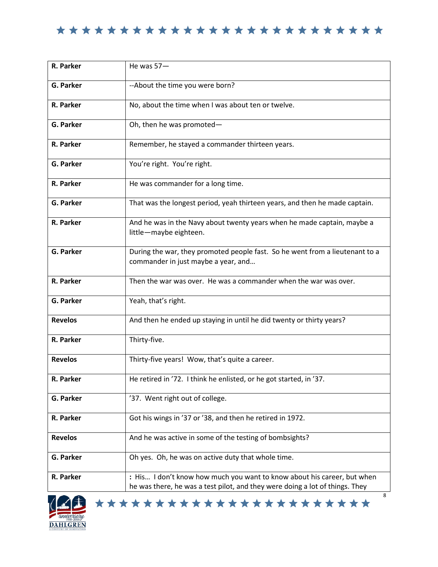| R. Parker        | He was $57-$                                                                                                                                            |
|------------------|---------------------------------------------------------------------------------------------------------------------------------------------------------|
| <b>G. Parker</b> | --About the time you were born?                                                                                                                         |
| R. Parker        | No, about the time when I was about ten or twelve.                                                                                                      |
| <b>G. Parker</b> | Oh, then he was promoted-                                                                                                                               |
| R. Parker        | Remember, he stayed a commander thirteen years.                                                                                                         |
| G. Parker        | You're right. You're right.                                                                                                                             |
| R. Parker        | He was commander for a long time.                                                                                                                       |
| <b>G. Parker</b> | That was the longest period, yeah thirteen years, and then he made captain.                                                                             |
| R. Parker        | And he was in the Navy about twenty years when he made captain, maybe a<br>little-maybe eighteen.                                                       |
| <b>G. Parker</b> | During the war, they promoted people fast. So he went from a lieutenant to a<br>commander in just maybe a year, and                                     |
| R. Parker        | Then the war was over. He was a commander when the war was over.                                                                                        |
| G. Parker        | Yeah, that's right.                                                                                                                                     |
| <b>Revelos</b>   | And then he ended up staying in until he did twenty or thirty years?                                                                                    |
| R. Parker        | Thirty-five.                                                                                                                                            |
| <b>Revelos</b>   | Thirty-five years! Wow, that's quite a career.                                                                                                          |
| R. Parker        | He retired in '72. I think he enlisted, or he got started, in '37.                                                                                      |
| G. Parker        | '37. Went right out of college.                                                                                                                         |
| R. Parker        | Got his wings in '37 or '38, and then he retired in 1972.                                                                                               |
| <b>Revelos</b>   | And he was active in some of the testing of bombsights?                                                                                                 |
| <b>G. Parker</b> | Oh yes. Oh, he was on active duty that whole time.                                                                                                      |
| R. Parker        | : His I don't know how much you want to know about his career, but when<br>he was there, he was a test pilot, and they were doing a lot of things. They |
|                  | 8                                                                                                                                                       |

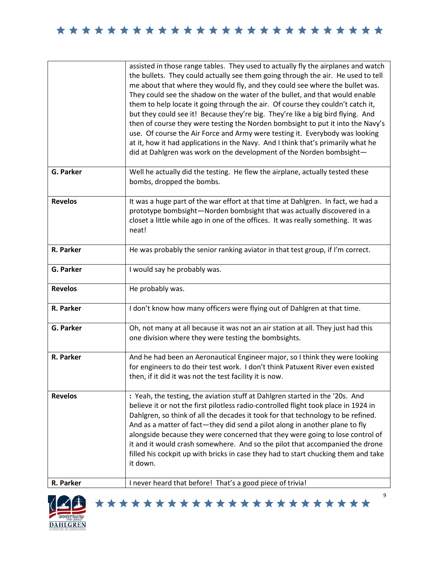|                             | assisted in those range tables. They used to actually fly the airplanes and watch<br>the bullets. They could actually see them going through the air. He used to tell<br>me about that where they would fly, and they could see where the bullet was.<br>They could see the shadow on the water of the bullet, and that would enable<br>them to help locate it going through the air. Of course they couldn't catch it,<br>but they could see it! Because they're big. They're like a big bird flying. And<br>then of course they were testing the Norden bombsight to put it into the Navy's<br>use. Of course the Air Force and Army were testing it. Everybody was looking<br>at it, how it had applications in the Navy. And I think that's primarily what he<br>did at Dahlgren was work on the development of the Norden bombsight- |
|-----------------------------|-------------------------------------------------------------------------------------------------------------------------------------------------------------------------------------------------------------------------------------------------------------------------------------------------------------------------------------------------------------------------------------------------------------------------------------------------------------------------------------------------------------------------------------------------------------------------------------------------------------------------------------------------------------------------------------------------------------------------------------------------------------------------------------------------------------------------------------------|
| <b>G. Parker</b>            | Well he actually did the testing. He flew the airplane, actually tested these<br>bombs, dropped the bombs.                                                                                                                                                                                                                                                                                                                                                                                                                                                                                                                                                                                                                                                                                                                                |
| <b>Revelos</b>              | It was a huge part of the war effort at that time at Dahlgren. In fact, we had a<br>prototype bombsight-Norden bombsight that was actually discovered in a<br>closet a little while ago in one of the offices. It was really something. It was<br>neat!                                                                                                                                                                                                                                                                                                                                                                                                                                                                                                                                                                                   |
| R. Parker                   | He was probably the senior ranking aviator in that test group, if I'm correct.                                                                                                                                                                                                                                                                                                                                                                                                                                                                                                                                                                                                                                                                                                                                                            |
| G. Parker                   | I would say he probably was.                                                                                                                                                                                                                                                                                                                                                                                                                                                                                                                                                                                                                                                                                                                                                                                                              |
| <b>Revelos</b>              | He probably was.                                                                                                                                                                                                                                                                                                                                                                                                                                                                                                                                                                                                                                                                                                                                                                                                                          |
| R. Parker                   | I don't know how many officers were flying out of Dahlgren at that time.                                                                                                                                                                                                                                                                                                                                                                                                                                                                                                                                                                                                                                                                                                                                                                  |
| <b>G. Parker</b>            | Oh, not many at all because it was not an air station at all. They just had this<br>one division where they were testing the bombsights.                                                                                                                                                                                                                                                                                                                                                                                                                                                                                                                                                                                                                                                                                                  |
| R. Parker                   | And he had been an Aeronautical Engineer major, so I think they were looking<br>for engineers to do their test work. I don't think Patuxent River even existed<br>then, if it did it was not the test facility it is now.                                                                                                                                                                                                                                                                                                                                                                                                                                                                                                                                                                                                                 |
| <b>Revelos</b><br>R. Parker | : Yeah, the testing, the aviation stuff at Dahlgren started in the '20s. And<br>believe it or not the first pilotless radio-controlled flight took place in 1924 in<br>Dahlgren, so think of all the decades it took for that technology to be refined.<br>And as a matter of fact—they did send a pilot along in another plane to fly<br>alongside because they were concerned that they were going to lose control of<br>it and it would crash somewhere. And so the pilot that accompanied the drone<br>filled his cockpit up with bricks in case they had to start chucking them and take<br>it down.<br>I never heard that before! That's a good piece of trivia!                                                                                                                                                                    |

\*\*\*\*\*\*\*\*\*\*\*\*\*\*\*\*\*\*\*\*\*\*\*

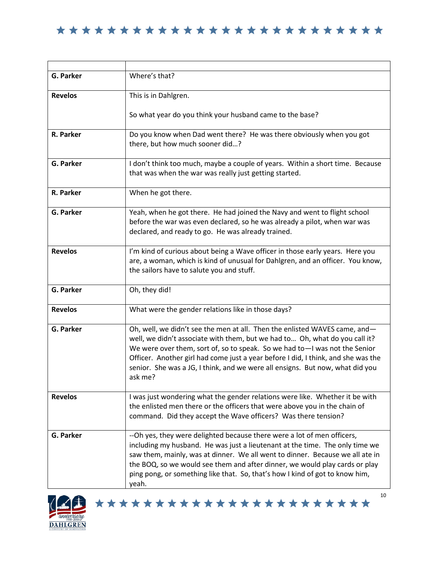| G. Parker      | Where's that?                                                                                                                                                                                                                                                                                                                                                                                                            |
|----------------|--------------------------------------------------------------------------------------------------------------------------------------------------------------------------------------------------------------------------------------------------------------------------------------------------------------------------------------------------------------------------------------------------------------------------|
| <b>Revelos</b> | This is in Dahlgren.                                                                                                                                                                                                                                                                                                                                                                                                     |
|                | So what year do you think your husband came to the base?                                                                                                                                                                                                                                                                                                                                                                 |
| R. Parker      | Do you know when Dad went there? He was there obviously when you got<br>there, but how much sooner did?                                                                                                                                                                                                                                                                                                                  |
| G. Parker      | I don't think too much, maybe a couple of years. Within a short time. Because<br>that was when the war was really just getting started.                                                                                                                                                                                                                                                                                  |
| R. Parker      | When he got there.                                                                                                                                                                                                                                                                                                                                                                                                       |
| G. Parker      | Yeah, when he got there. He had joined the Navy and went to flight school<br>before the war was even declared, so he was already a pilot, when war was<br>declared, and ready to go. He was already trained.                                                                                                                                                                                                             |
| <b>Revelos</b> | I'm kind of curious about being a Wave officer in those early years. Here you<br>are, a woman, which is kind of unusual for Dahlgren, and an officer. You know,<br>the sailors have to salute you and stuff.                                                                                                                                                                                                             |
| G. Parker      | Oh, they did!                                                                                                                                                                                                                                                                                                                                                                                                            |
| <b>Revelos</b> | What were the gender relations like in those days?                                                                                                                                                                                                                                                                                                                                                                       |
| G. Parker      | Oh, well, we didn't see the men at all. Then the enlisted WAVES came, and-<br>well, we didn't associate with them, but we had to Oh, what do you call it?<br>We were over them, sort of, so to speak. So we had to-I was not the Senior<br>Officer. Another girl had come just a year before I did, I think, and she was the<br>senior. She was a JG, I think, and we were all ensigns. But now, what did you<br>ask me? |
| <b>Revelos</b> | I was just wondering what the gender relations were like. Whether it be with<br>the enlisted men there or the officers that were above you in the chain of<br>command. Did they accept the Wave officers? Was there tension?                                                                                                                                                                                             |
| G. Parker      | --Oh yes, they were delighted because there were a lot of men officers,<br>including my husband. He was just a lieutenant at the time. The only time we<br>saw them, mainly, was at dinner. We all went to dinner. Because we all ate in<br>the BOQ, so we would see them and after dinner, we would play cards or play<br>ping pong, or something like that. So, that's how I kind of got to know him,<br>yeah.         |

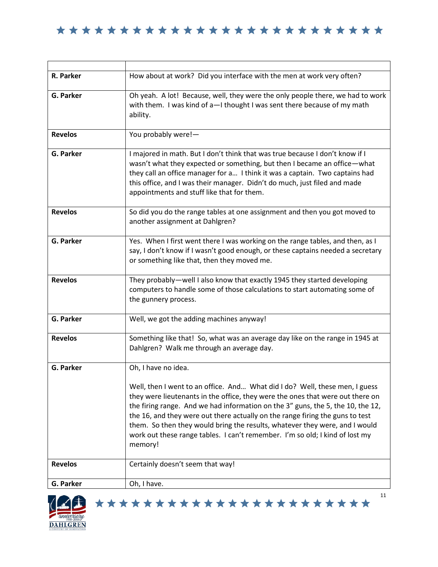| R. Parker        | How about at work? Did you interface with the men at work very often?                                                                                                                                                                                                                                                                                                                                                                                                                                       |
|------------------|-------------------------------------------------------------------------------------------------------------------------------------------------------------------------------------------------------------------------------------------------------------------------------------------------------------------------------------------------------------------------------------------------------------------------------------------------------------------------------------------------------------|
| <b>G. Parker</b> | Oh yeah. A lot! Because, well, they were the only people there, we had to work<br>with them. I was kind of a-I thought I was sent there because of my math<br>ability.                                                                                                                                                                                                                                                                                                                                      |
| <b>Revelos</b>   | You probably were!-                                                                                                                                                                                                                                                                                                                                                                                                                                                                                         |
| G. Parker        | I majored in math. But I don't think that was true because I don't know if I<br>wasn't what they expected or something, but then I became an office-what<br>they call an office manager for a I think it was a captain. Two captains had<br>this office, and I was their manager. Didn't do much, just filed and made<br>appointments and stuff like that for them.                                                                                                                                         |
| <b>Revelos</b>   | So did you do the range tables at one assignment and then you got moved to<br>another assignment at Dahlgren?                                                                                                                                                                                                                                                                                                                                                                                               |
| G. Parker        | Yes. When I first went there I was working on the range tables, and then, as I<br>say, I don't know if I wasn't good enough, or these captains needed a secretary<br>or something like that, then they moved me.                                                                                                                                                                                                                                                                                            |
| <b>Revelos</b>   | They probably—well I also know that exactly 1945 they started developing<br>computers to handle some of those calculations to start automating some of<br>the gunnery process.                                                                                                                                                                                                                                                                                                                              |
| <b>G. Parker</b> | Well, we got the adding machines anyway!                                                                                                                                                                                                                                                                                                                                                                                                                                                                    |
| <b>Revelos</b>   | Something like that! So, what was an average day like on the range in 1945 at<br>Dahlgren? Walk me through an average day.                                                                                                                                                                                                                                                                                                                                                                                  |
| <b>G. Parker</b> | Oh, I have no idea.                                                                                                                                                                                                                                                                                                                                                                                                                                                                                         |
|                  | Well, then I went to an office. And What did I do? Well, these men, I guess<br>they were lieutenants in the office, they were the ones that were out there on<br>the firing range. And we had information on the 3" guns, the 5, the 10, the 12,<br>the 16, and they were out there actually on the range firing the guns to test<br>them. So then they would bring the results, whatever they were, and I would<br>work out these range tables. I can't remember. I'm so old; I kind of lost my<br>memory! |
| <b>Revelos</b>   | Certainly doesn't seem that way!                                                                                                                                                                                                                                                                                                                                                                                                                                                                            |
| G. Parker        | Oh, I have.                                                                                                                                                                                                                                                                                                                                                                                                                                                                                                 |



\*\*\*\*\*\*\*\*\*\*\*\*\*\*\*\*\*\*\*\*\*\*\* Ι,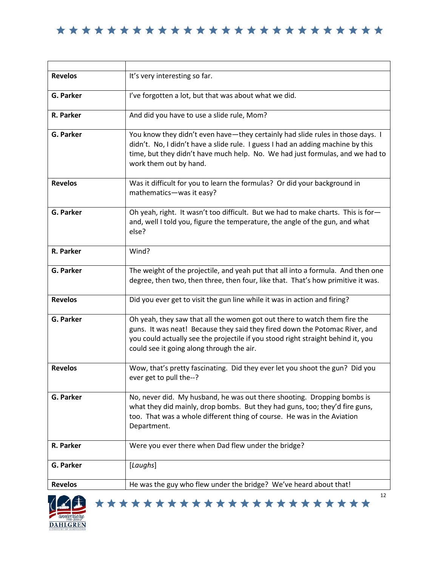| <b>Revelos</b>   | It's very interesting so far.                                                                                                                                                                                                                                                             |
|------------------|-------------------------------------------------------------------------------------------------------------------------------------------------------------------------------------------------------------------------------------------------------------------------------------------|
| G. Parker        | I've forgotten a lot, but that was about what we did.                                                                                                                                                                                                                                     |
| R. Parker        | And did you have to use a slide rule, Mom?                                                                                                                                                                                                                                                |
| <b>G. Parker</b> | You know they didn't even have-they certainly had slide rules in those days. I<br>didn't. No, I didn't have a slide rule. I guess I had an adding machine by this<br>time, but they didn't have much help. No. We had just formulas, and we had to<br>work them out by hand.              |
| <b>Revelos</b>   | Was it difficult for you to learn the formulas? Or did your background in<br>mathematics-was it easy?                                                                                                                                                                                     |
| G. Parker        | Oh yeah, right. It wasn't too difficult. But we had to make charts. This is for-<br>and, well I told you, figure the temperature, the angle of the gun, and what<br>else?                                                                                                                 |
| R. Parker        | Wind?                                                                                                                                                                                                                                                                                     |
| G. Parker        | The weight of the projectile, and yeah put that all into a formula. And then one<br>degree, then two, then three, then four, like that. That's how primitive it was.                                                                                                                      |
| <b>Revelos</b>   | Did you ever get to visit the gun line while it was in action and firing?                                                                                                                                                                                                                 |
| G. Parker        | Oh yeah, they saw that all the women got out there to watch them fire the<br>guns. It was neat! Because they said they fired down the Potomac River, and<br>you could actually see the projectile if you stood right straight behind it, you<br>could see it going along through the air. |
| <b>Revelos</b>   | Wow, that's pretty fascinating. Did they ever let you shoot the gun? Did you<br>ever get to pull the--?                                                                                                                                                                                   |
| G. Parker        | No, never did. My husband, he was out there shooting. Dropping bombs is<br>what they did mainly, drop bombs. But they had guns, too; they'd fire guns,<br>too. That was a whole different thing of course. He was in the Aviation<br>Department.                                          |
| R. Parker        | Were you ever there when Dad flew under the bridge?                                                                                                                                                                                                                                       |
| <b>G. Parker</b> | [Laughs]                                                                                                                                                                                                                                                                                  |
| <b>Revelos</b>   | He was the guy who flew under the bridge? We've heard about that!                                                                                                                                                                                                                         |

\*\*\*\*\*\*\*\*\*\*\*\*\*\*\*\*\*\*\*\*\*\*\*

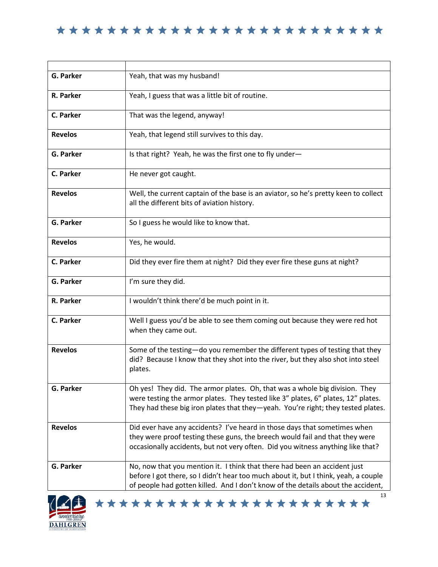| <b>G. Parker</b> | Yeah, that was my husband!                                                                                                                                                                                                                                 |
|------------------|------------------------------------------------------------------------------------------------------------------------------------------------------------------------------------------------------------------------------------------------------------|
| R. Parker        | Yeah, I guess that was a little bit of routine.                                                                                                                                                                                                            |
| C. Parker        | That was the legend, anyway!                                                                                                                                                                                                                               |
| <b>Revelos</b>   | Yeah, that legend still survives to this day.                                                                                                                                                                                                              |
| <b>G. Parker</b> | Is that right? Yeah, he was the first one to fly under-                                                                                                                                                                                                    |
| C. Parker        | He never got caught.                                                                                                                                                                                                                                       |
| <b>Revelos</b>   | Well, the current captain of the base is an aviator, so he's pretty keen to collect<br>all the different bits of aviation history.                                                                                                                         |
| G. Parker        | So I guess he would like to know that.                                                                                                                                                                                                                     |
| <b>Revelos</b>   | Yes, he would.                                                                                                                                                                                                                                             |
| C. Parker        | Did they ever fire them at night? Did they ever fire these guns at night?                                                                                                                                                                                  |
| G. Parker        | I'm sure they did.                                                                                                                                                                                                                                         |
| R. Parker        | I wouldn't think there'd be much point in it.                                                                                                                                                                                                              |
| C. Parker        | Well I guess you'd be able to see them coming out because they were red hot<br>when they came out.                                                                                                                                                         |
| <b>Revelos</b>   | Some of the testing-do you remember the different types of testing that they<br>did? Because I know that they shot into the river, but they also shot into steel<br>plates.                                                                                |
| G. Parker        | Oh yes! They did. The armor plates. Oh, that was a whole big division. They<br>were testing the armor plates. They tested like 3" plates, 6" plates, 12" plates.<br>They had these big iron plates that they-yeah. You're right; they tested plates.       |
| <b>Revelos</b>   | Did ever have any accidents? I've heard in those days that sometimes when<br>they were proof testing these guns, the breech would fail and that they were<br>occasionally accidents, but not very often. Did you witness anything like that?               |
| G. Parker        | No, now that you mention it. I think that there had been an accident just<br>before I got there, so I didn't hear too much about it, but I think, yeah, a couple<br>of people had gotten killed. And I don't know of the details about the accident,<br>13 |

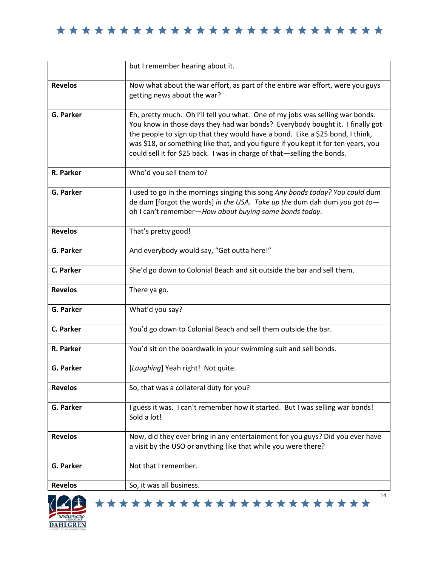|                  | but I remember hearing about it.                                                                                                                                                                                                                                                                                                                                                                                 |
|------------------|------------------------------------------------------------------------------------------------------------------------------------------------------------------------------------------------------------------------------------------------------------------------------------------------------------------------------------------------------------------------------------------------------------------|
| <b>Revelos</b>   | Now what about the war effort, as part of the entire war effort, were you guys<br>getting news about the war?                                                                                                                                                                                                                                                                                                    |
| G. Parker        | Eh, pretty much. Oh I'll tell you what. One of my jobs was selling war bonds.<br>You know in those days they had war bonds? Everybody bought it. I finally got<br>the people to sign up that they would have a bond. Like a \$25 bond, I think,<br>was \$18, or something like that, and you figure if you kept it for ten years, you<br>could sell it for \$25 back. I was in charge of that-selling the bonds. |
| R. Parker        | Who'd you sell them to?                                                                                                                                                                                                                                                                                                                                                                                          |
| G. Parker        | I used to go in the mornings singing this song Any bonds today? You could dum<br>de dum [forgot the words] in the USA. Take up the dum dah dum you got to-<br>oh I can't remember-How about buying some bonds today.                                                                                                                                                                                             |
| <b>Revelos</b>   | That's pretty good!                                                                                                                                                                                                                                                                                                                                                                                              |
| G. Parker        | And everybody would say, "Get outta here!"                                                                                                                                                                                                                                                                                                                                                                       |
| C. Parker        | She'd go down to Colonial Beach and sit outside the bar and sell them.                                                                                                                                                                                                                                                                                                                                           |
| <b>Revelos</b>   | There ya go.                                                                                                                                                                                                                                                                                                                                                                                                     |
| <b>G. Parker</b> | What'd you say?                                                                                                                                                                                                                                                                                                                                                                                                  |
| C. Parker        | You'd go down to Colonial Beach and sell them outside the bar.                                                                                                                                                                                                                                                                                                                                                   |
| R. Parker        | You'd sit on the boardwalk in your swimming suit and sell bonds.                                                                                                                                                                                                                                                                                                                                                 |
| G. Parker        | [Laughing] Yeah right! Not quite.                                                                                                                                                                                                                                                                                                                                                                                |
| <b>Revelos</b>   | So, that was a collateral duty for you?                                                                                                                                                                                                                                                                                                                                                                          |
| G. Parker        | I guess it was. I can't remember how it started. But I was selling war bonds!<br>Sold a lot!                                                                                                                                                                                                                                                                                                                     |
| <b>Revelos</b>   | Now, did they ever bring in any entertainment for you guys? Did you ever have<br>a visit by the USO or anything like that while you were there?                                                                                                                                                                                                                                                                  |
| G. Parker        | Not that I remember.                                                                                                                                                                                                                                                                                                                                                                                             |
| <b>Revelos</b>   | So, it was all business.<br>14                                                                                                                                                                                                                                                                                                                                                                                   |

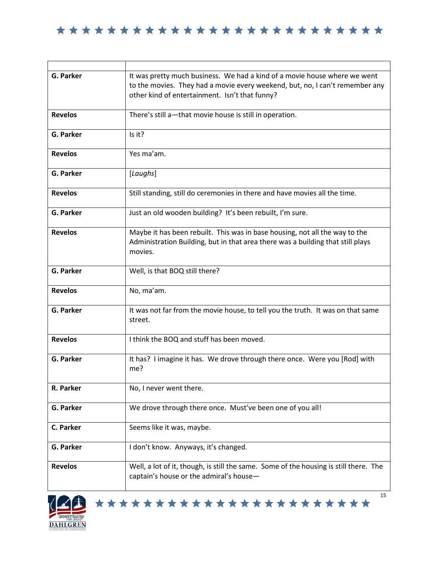| <b>G. Parker</b> | It was pretty much business. We had a kind of a movie house where we went                                                      |
|------------------|--------------------------------------------------------------------------------------------------------------------------------|
|                  | to the movies. They had a movie every weekend, but, no, I can't remember any<br>other kind of entertainment. Isn't that funny? |
|                  |                                                                                                                                |
| <b>Revelos</b>   | There's still a-that movie house is still in operation.                                                                        |
|                  |                                                                                                                                |
| G. Parker        | Is it?                                                                                                                         |
| <b>Revelos</b>   | Yes ma'am.                                                                                                                     |
|                  |                                                                                                                                |
| G. Parker        | [Laughs]                                                                                                                       |
| <b>Revelos</b>   | Still standing, still do ceremonies in there and have movies all the time.                                                     |
|                  |                                                                                                                                |
| G. Parker        | Just an old wooden building? It's been rebuilt, I'm sure.                                                                      |
| <b>Revelos</b>   | Maybe it has been rebuilt. This was in base housing, not all the way to the                                                    |
|                  | Administration Building, but in that area there was a building that still plays                                                |
|                  | movies.                                                                                                                        |
| G. Parker        | Well, is that BOQ still there?                                                                                                 |
|                  |                                                                                                                                |
| <b>Revelos</b>   | No, ma'am.                                                                                                                     |
| G. Parker        | It was not far from the movie house, to tell you the truth. It was on that same                                                |
|                  | street.                                                                                                                        |
|                  |                                                                                                                                |
| <b>Revelos</b>   | I think the BOQ and stuff has been moved.                                                                                      |
| G. Parker        | It has? I imagine it has. We drove through there once. Were you [Rod] with                                                     |
|                  | me?                                                                                                                            |
|                  |                                                                                                                                |
| R. Parker        | No, I never went there.                                                                                                        |
| G. Parker        | We drove through there once. Must've been one of you all!                                                                      |
|                  |                                                                                                                                |
| C. Parker        | Seems like it was, maybe.                                                                                                      |
| G. Parker        | I don't know. Anyways, it's changed.                                                                                           |
|                  |                                                                                                                                |
| <b>Revelos</b>   | Well, a lot of it, though, is still the same. Some of the housing is still there. The                                          |
|                  | captain's house or the admiral's house-                                                                                        |
|                  |                                                                                                                                |



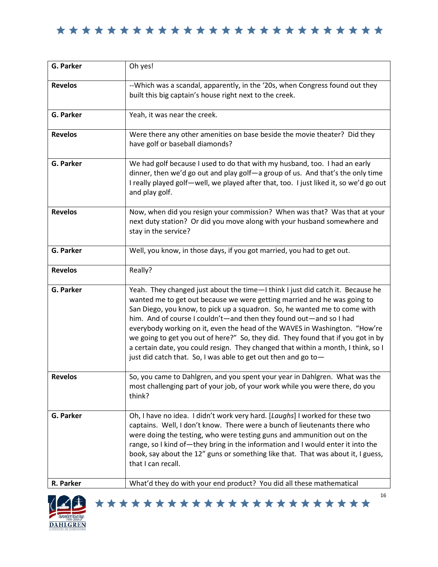| G. Parker              | Oh yes!                                                                                                                                                                                                                                                                                                                                                                                                                                                                                                                                                                                                                                |
|------------------------|----------------------------------------------------------------------------------------------------------------------------------------------------------------------------------------------------------------------------------------------------------------------------------------------------------------------------------------------------------------------------------------------------------------------------------------------------------------------------------------------------------------------------------------------------------------------------------------------------------------------------------------|
| <b>Revelos</b>         | --Which was a scandal, apparently, in the '20s, when Congress found out they<br>built this big captain's house right next to the creek.                                                                                                                                                                                                                                                                                                                                                                                                                                                                                                |
| <b>G. Parker</b>       | Yeah, it was near the creek.                                                                                                                                                                                                                                                                                                                                                                                                                                                                                                                                                                                                           |
| <b>Revelos</b>         | Were there any other amenities on base beside the movie theater? Did they<br>have golf or baseball diamonds?                                                                                                                                                                                                                                                                                                                                                                                                                                                                                                                           |
| <b>G. Parker</b>       | We had golf because I used to do that with my husband, too. I had an early<br>dinner, then we'd go out and play golf-a group of us. And that's the only time<br>I really played golf-well, we played after that, too. I just liked it, so we'd go out<br>and play golf.                                                                                                                                                                                                                                                                                                                                                                |
| <b>Revelos</b>         | Now, when did you resign your commission? When was that? Was that at your<br>next duty station? Or did you move along with your husband somewhere and<br>stay in the service?                                                                                                                                                                                                                                                                                                                                                                                                                                                          |
| <b>G. Parker</b>       | Well, you know, in those days, if you got married, you had to get out.                                                                                                                                                                                                                                                                                                                                                                                                                                                                                                                                                                 |
| <b>Revelos</b>         | Really?                                                                                                                                                                                                                                                                                                                                                                                                                                                                                                                                                                                                                                |
| G. Parker              | Yeah. They changed just about the time-I think I just did catch it. Because he<br>wanted me to get out because we were getting married and he was going to<br>San Diego, you know, to pick up a squadron. So, he wanted me to come with<br>him. And of course I couldn't-and then they found out-and so I had<br>everybody working on it, even the head of the WAVES in Washington. "How're<br>we going to get you out of here?" So, they did. They found that if you got in by<br>a certain date, you could resign. They changed that within a month, I think, so I<br>just did catch that. So, I was able to get out then and go to- |
| <b>Revelos</b>         | So, you came to Dahlgren, and you spent your year in Dahlgren. What was the<br>most challenging part of your job, of your work while you were there, do you<br>think?                                                                                                                                                                                                                                                                                                                                                                                                                                                                  |
| G. Parker<br>R. Parker | Oh, I have no idea. I didn't work very hard. [Laughs] I worked for these two<br>captains. Well, I don't know. There were a bunch of lieutenants there who<br>were doing the testing, who were testing guns and ammunition out on the<br>range, so I kind of-they bring in the information and I would enter it into the<br>book, say about the 12" guns or something like that. That was about it, I guess,<br>that I can recall.<br>What'd they do with your end product? You did all these mathematical                                                                                                                              |

\*\*\*\*\*\*\*\*\*\*\*\*\*\*\*\*\*\*\*\*\*\*\*

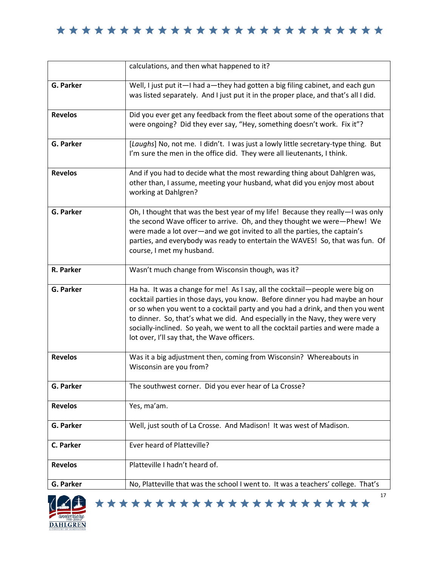|                | calculations, and then what happened to it?                                                                                                                                                                                                                                                                                                                                                                                                                        |
|----------------|--------------------------------------------------------------------------------------------------------------------------------------------------------------------------------------------------------------------------------------------------------------------------------------------------------------------------------------------------------------------------------------------------------------------------------------------------------------------|
| G. Parker      | Well, I just put it-I had a-they had gotten a big filing cabinet, and each gun<br>was listed separately. And I just put it in the proper place, and that's all I did.                                                                                                                                                                                                                                                                                              |
| <b>Revelos</b> | Did you ever get any feedback from the fleet about some of the operations that<br>were ongoing? Did they ever say, "Hey, something doesn't work. Fix it"?                                                                                                                                                                                                                                                                                                          |
| G. Parker      | [Laughs] No, not me. I didn't. I was just a lowly little secretary-type thing. But<br>I'm sure the men in the office did. They were all lieutenants, I think.                                                                                                                                                                                                                                                                                                      |
| <b>Revelos</b> | And if you had to decide what the most rewarding thing about Dahlgren was,<br>other than, I assume, meeting your husband, what did you enjoy most about<br>working at Dahlgren?                                                                                                                                                                                                                                                                                    |
| G. Parker      | Oh, I thought that was the best year of my life! Because they really-I was only<br>the second Wave officer to arrive. Oh, and they thought we were-Phew! We<br>were made a lot over-and we got invited to all the parties, the captain's<br>parties, and everybody was ready to entertain the WAVES! So, that was fun. Of<br>course, I met my husband.                                                                                                             |
| R. Parker      | Wasn't much change from Wisconsin though, was it?                                                                                                                                                                                                                                                                                                                                                                                                                  |
| G. Parker      | Ha ha. It was a change for me! As I say, all the cocktail-people were big on<br>cocktail parties in those days, you know. Before dinner you had maybe an hour<br>or so when you went to a cocktail party and you had a drink, and then you went<br>to dinner. So, that's what we did. And especially in the Navy, they were very<br>socially-inclined. So yeah, we went to all the cocktail parties and were made a<br>lot over, I'll say that, the Wave officers. |
| <b>Revelos</b> | Was it a big adjustment then, coming from Wisconsin? Whereabouts in<br>Wisconsin are you from?                                                                                                                                                                                                                                                                                                                                                                     |
| G. Parker      | The southwest corner. Did you ever hear of La Crosse?                                                                                                                                                                                                                                                                                                                                                                                                              |
| <b>Revelos</b> | Yes, ma'am.                                                                                                                                                                                                                                                                                                                                                                                                                                                        |
| G. Parker      | Well, just south of La Crosse. And Madison! It was west of Madison.                                                                                                                                                                                                                                                                                                                                                                                                |
| C. Parker      | Ever heard of Platteville?                                                                                                                                                                                                                                                                                                                                                                                                                                         |
| <b>Revelos</b> | Platteville I hadn't heard of.                                                                                                                                                                                                                                                                                                                                                                                                                                     |
| G. Parker      | No, Platteville that was the school I went to. It was a teachers' college. That's                                                                                                                                                                                                                                                                                                                                                                                  |

\*\*\*\*\*\*\*\*\*\*\*\*\*\*\*\*\*\*\*\*\*\*\*

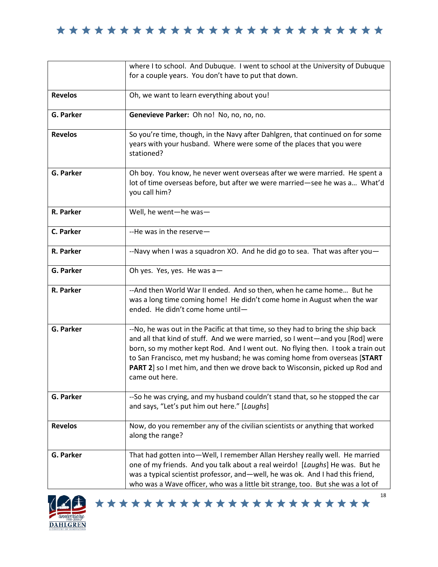|                  | where I to school. And Dubuque. I went to school at the University of Dubuque                                                                                                                                                                                                                                                                                                                                                       |
|------------------|-------------------------------------------------------------------------------------------------------------------------------------------------------------------------------------------------------------------------------------------------------------------------------------------------------------------------------------------------------------------------------------------------------------------------------------|
|                  | for a couple years. You don't have to put that down.                                                                                                                                                                                                                                                                                                                                                                                |
| <b>Revelos</b>   | Oh, we want to learn everything about you!                                                                                                                                                                                                                                                                                                                                                                                          |
| G. Parker        | Genevieve Parker: Oh no! No, no, no, no.                                                                                                                                                                                                                                                                                                                                                                                            |
| <b>Revelos</b>   | So you're time, though, in the Navy after Dahlgren, that continued on for some<br>years with your husband. Where were some of the places that you were<br>stationed?                                                                                                                                                                                                                                                                |
| G. Parker        | Oh boy. You know, he never went overseas after we were married. He spent a<br>lot of time overseas before, but after we were married-see he was a What'd<br>you call him?                                                                                                                                                                                                                                                           |
| R. Parker        | Well, he went-he was-                                                                                                                                                                                                                                                                                                                                                                                                               |
| C. Parker        | --He was in the reserve-                                                                                                                                                                                                                                                                                                                                                                                                            |
| R. Parker        | --Navy when I was a squadron XO. And he did go to sea. That was after you-                                                                                                                                                                                                                                                                                                                                                          |
| <b>G. Parker</b> | Oh yes. Yes, yes. He was a-                                                                                                                                                                                                                                                                                                                                                                                                         |
| R. Parker        | -- And then World War II ended. And so then, when he came home But he<br>was a long time coming home! He didn't come home in August when the war<br>ended. He didn't come home until-                                                                                                                                                                                                                                               |
| <b>G. Parker</b> | --No, he was out in the Pacific at that time, so they had to bring the ship back<br>and all that kind of stuff. And we were married, so I went-and you [Rod] were<br>born, so my mother kept Rod. And I went out. No flying then. I took a train out<br>to San Francisco, met my husband; he was coming home from overseas [START<br>PART 2] so I met him, and then we drove back to Wisconsin, picked up Rod and<br>came out here. |
| <b>G. Parker</b> | --So he was crying, and my husband couldn't stand that, so he stopped the car<br>and says, "Let's put him out here." [Laughs]                                                                                                                                                                                                                                                                                                       |
| <b>Revelos</b>   | Now, do you remember any of the civilian scientists or anything that worked<br>along the range?                                                                                                                                                                                                                                                                                                                                     |
| <b>G. Parker</b> | That had gotten into-Well, I remember Allan Hershey really well. He married<br>one of my friends. And you talk about a real weirdo! [Laughs] He was. But he<br>was a typical scientist professor, and - well, he was ok. And I had this friend,<br>who was a Wave officer, who was a little bit strange, too. But she was a lot of                                                                                                  |

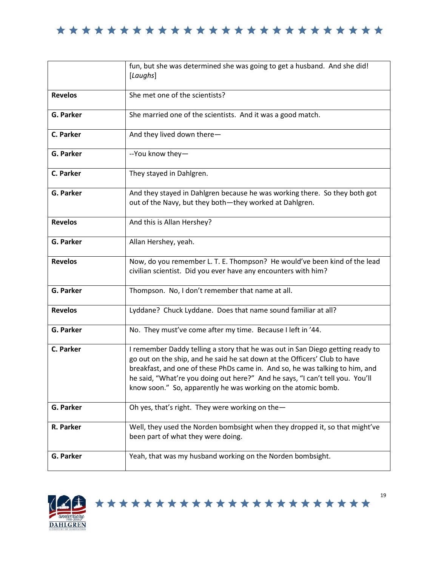|                  | fun, but she was determined she was going to get a husband. And she did!<br>[Laughs]                                                                                                                                                                                                                                                                                                          |
|------------------|-----------------------------------------------------------------------------------------------------------------------------------------------------------------------------------------------------------------------------------------------------------------------------------------------------------------------------------------------------------------------------------------------|
| <b>Revelos</b>   | She met one of the scientists?                                                                                                                                                                                                                                                                                                                                                                |
| G. Parker        | She married one of the scientists. And it was a good match.                                                                                                                                                                                                                                                                                                                                   |
| C. Parker        | And they lived down there-                                                                                                                                                                                                                                                                                                                                                                    |
| G. Parker        | --You know they-                                                                                                                                                                                                                                                                                                                                                                              |
| C. Parker        | They stayed in Dahlgren.                                                                                                                                                                                                                                                                                                                                                                      |
| <b>G. Parker</b> | And they stayed in Dahlgren because he was working there. So they both got<br>out of the Navy, but they both-they worked at Dahlgren.                                                                                                                                                                                                                                                         |
| <b>Revelos</b>   | And this is Allan Hershey?                                                                                                                                                                                                                                                                                                                                                                    |
| G. Parker        | Allan Hershey, yeah.                                                                                                                                                                                                                                                                                                                                                                          |
| <b>Revelos</b>   | Now, do you remember L. T. E. Thompson? He would've been kind of the lead<br>civilian scientist. Did you ever have any encounters with him?                                                                                                                                                                                                                                                   |
| G. Parker        | Thompson. No, I don't remember that name at all.                                                                                                                                                                                                                                                                                                                                              |
| <b>Revelos</b>   | Lyddane? Chuck Lyddane. Does that name sound familiar at all?                                                                                                                                                                                                                                                                                                                                 |
| G. Parker        | No. They must've come after my time. Because I left in '44.                                                                                                                                                                                                                                                                                                                                   |
| C. Parker        | I remember Daddy telling a story that he was out in San Diego getting ready to<br>go out on the ship, and he said he sat down at the Officers' Club to have<br>breakfast, and one of these PhDs came in. And so, he was talking to him, and<br>he said, "What're you doing out here?" And he says, "I can't tell you. You'll<br>know soon." So, apparently he was working on the atomic bomb. |
| G. Parker        | Oh yes, that's right. They were working on the-                                                                                                                                                                                                                                                                                                                                               |
| R. Parker        | Well, they used the Norden bombsight when they dropped it, so that might've<br>been part of what they were doing.                                                                                                                                                                                                                                                                             |
| G. Parker        | Yeah, that was my husband working on the Norden bombsight.                                                                                                                                                                                                                                                                                                                                    |

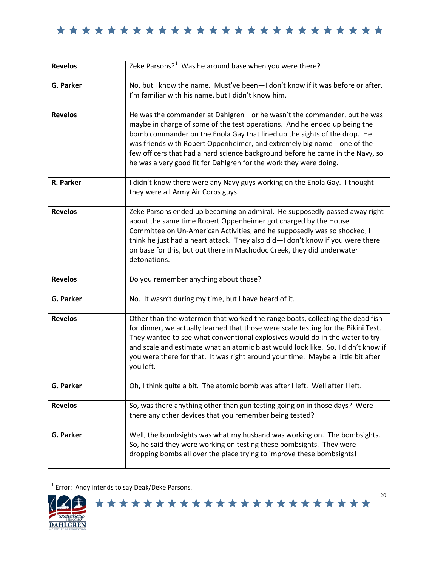| <b>Revelos</b>   | Zeke Parsons? <sup>1</sup> Was he around base when you were there?                                                                                                                                                                                                                                                                                                                                                                                                  |
|------------------|---------------------------------------------------------------------------------------------------------------------------------------------------------------------------------------------------------------------------------------------------------------------------------------------------------------------------------------------------------------------------------------------------------------------------------------------------------------------|
| G. Parker        | No, but I know the name. Must've been-I don't know if it was before or after.<br>I'm familiar with his name, but I didn't know him.                                                                                                                                                                                                                                                                                                                                 |
| <b>Revelos</b>   | He was the commander at Dahlgren-or he wasn't the commander, but he was<br>maybe in charge of some of the test operations. And he ended up being the<br>bomb commander on the Enola Gay that lined up the sights of the drop. He<br>was friends with Robert Oppenheimer, and extremely big name---one of the<br>few officers that had a hard science background before he came in the Navy, so<br>he was a very good fit for Dahlgren for the work they were doing. |
| R. Parker        | I didn't know there were any Navy guys working on the Enola Gay. I thought<br>they were all Army Air Corps guys.                                                                                                                                                                                                                                                                                                                                                    |
| <b>Revelos</b>   | Zeke Parsons ended up becoming an admiral. He supposedly passed away right<br>about the same time Robert Oppenheimer got charged by the House<br>Committee on Un-American Activities, and he supposedly was so shocked, I<br>think he just had a heart attack. They also did-I don't know if you were there<br>on base for this, but out there in Machodoc Creek, they did underwater<br>detonations.                                                               |
| <b>Revelos</b>   | Do you remember anything about those?                                                                                                                                                                                                                                                                                                                                                                                                                               |
| <b>G. Parker</b> | No. It wasn't during my time, but I have heard of it.                                                                                                                                                                                                                                                                                                                                                                                                               |
| <b>Revelos</b>   | Other than the watermen that worked the range boats, collecting the dead fish<br>for dinner, we actually learned that those were scale testing for the Bikini Test.<br>They wanted to see what conventional explosives would do in the water to try<br>and scale and estimate what an atomic blast would look like. So, I didn't know if<br>you were there for that. It was right around your time. Maybe a little bit after<br>you left.                           |
| <b>G. Parker</b> | Oh, I think quite a bit. The atomic bomb was after I left. Well after I left.                                                                                                                                                                                                                                                                                                                                                                                       |
| <b>Revelos</b>   | So, was there anything other than gun testing going on in those days? Were<br>there any other devices that you remember being tested?                                                                                                                                                                                                                                                                                                                               |
| G. Parker        | Well, the bombsights was what my husband was working on. The bombsights.<br>So, he said they were working on testing these bombsights. They were<br>dropping bombs all over the place trying to improve these bombsights!                                                                                                                                                                                                                                           |

1 Error: Andy intends to say Deak/Deke Parsons.

<span id="page-19-0"></span>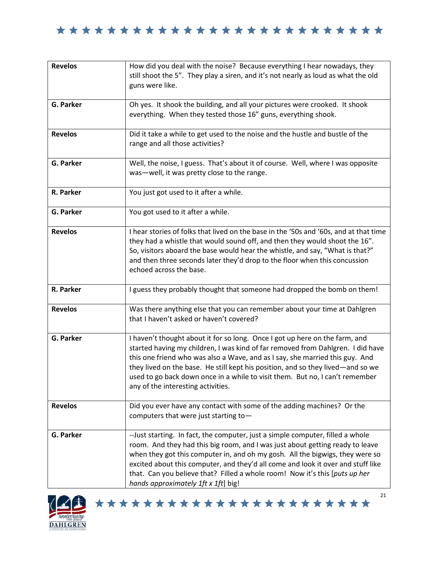

| <b>Revelos</b>   | How did you deal with the noise? Because everything I hear nowadays, they<br>still shoot the 5". They play a siren, and it's not nearly as loud as what the old<br>guns were like.                                                                                                                                                                                                                                                                          |
|------------------|-------------------------------------------------------------------------------------------------------------------------------------------------------------------------------------------------------------------------------------------------------------------------------------------------------------------------------------------------------------------------------------------------------------------------------------------------------------|
| <b>G. Parker</b> | Oh yes. It shook the building, and all your pictures were crooked. It shook<br>everything. When they tested those 16" guns, everything shook.                                                                                                                                                                                                                                                                                                               |
| <b>Revelos</b>   | Did it take a while to get used to the noise and the hustle and bustle of the<br>range and all those activities?                                                                                                                                                                                                                                                                                                                                            |
| <b>G. Parker</b> | Well, the noise, I guess. That's about it of course. Well, where I was opposite<br>was-well, it was pretty close to the range.                                                                                                                                                                                                                                                                                                                              |
| R. Parker        | You just got used to it after a while.                                                                                                                                                                                                                                                                                                                                                                                                                      |
| <b>G. Parker</b> | You got used to it after a while.                                                                                                                                                                                                                                                                                                                                                                                                                           |
| <b>Revelos</b>   | I hear stories of folks that lived on the base in the '50s and '60s, and at that time<br>they had a whistle that would sound off, and then they would shoot the 16".<br>So, visitors aboard the base would hear the whistle, and say, "What is that?"<br>and then three seconds later they'd drop to the floor when this concussion<br>echoed across the base.                                                                                              |
| R. Parker        | I guess they probably thought that someone had dropped the bomb on them!                                                                                                                                                                                                                                                                                                                                                                                    |
| <b>Revelos</b>   | Was there anything else that you can remember about your time at Dahlgren<br>that I haven't asked or haven't covered?                                                                                                                                                                                                                                                                                                                                       |
| <b>G. Parker</b> | I haven't thought about it for so long. Once I got up here on the farm, and<br>started having my children, I was kind of far removed from Dahlgren. I did have<br>this one friend who was also a Wave, and as I say, she married this guy. And<br>they lived on the base. He still kept his position, and so they lived—and so we<br>used to go back down once in a while to visit them. But no, I can't remember<br>any of the interesting activities.     |
| <b>Revelos</b>   | Did you ever have any contact with some of the adding machines? Or the<br>computers that were just starting to-                                                                                                                                                                                                                                                                                                                                             |
| G. Parker        | -- Just starting. In fact, the computer, just a simple computer, filled a whole<br>room. And they had this big room, and I was just about getting ready to leave<br>when they got this computer in, and oh my gosh. All the bigwigs, they were so<br>excited about this computer, and they'd all come and look it over and stuff like<br>that. Can you believe that? Filled a whole room! Now it's this [puts up her<br>hands approximately 1ft x 1ft] big! |

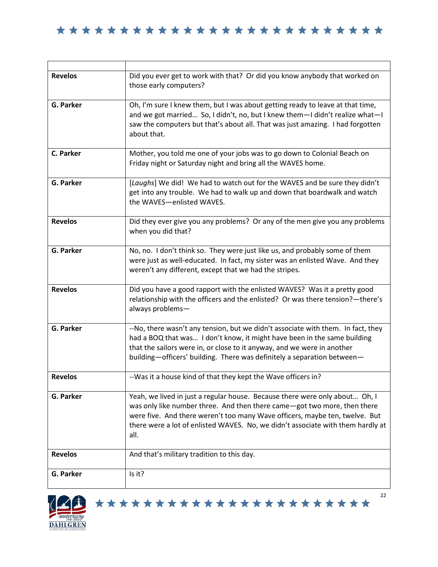| <b>Revelos</b>   | Did you ever get to work with that? Or did you know anybody that worked on<br>those early computers?                                                                                                                                                                                                                              |
|------------------|-----------------------------------------------------------------------------------------------------------------------------------------------------------------------------------------------------------------------------------------------------------------------------------------------------------------------------------|
| <b>G. Parker</b> | Oh, I'm sure I knew them, but I was about getting ready to leave at that time,<br>and we got married So, I didn't, no, but I knew them-I didn't realize what-I<br>saw the computers but that's about all. That was just amazing. I had forgotten<br>about that.                                                                   |
| C. Parker        | Mother, you told me one of your jobs was to go down to Colonial Beach on<br>Friday night or Saturday night and bring all the WAVES home.                                                                                                                                                                                          |
| <b>G. Parker</b> | [Laughs] We did! We had to watch out for the WAVES and be sure they didn't<br>get into any trouble. We had to walk up and down that boardwalk and watch<br>the WAVES-enlisted WAVES.                                                                                                                                              |
| <b>Revelos</b>   | Did they ever give you any problems? Or any of the men give you any problems<br>when you did that?                                                                                                                                                                                                                                |
| <b>G. Parker</b> | No, no. I don't think so. They were just like us, and probably some of them<br>were just as well-educated. In fact, my sister was an enlisted Wave. And they<br>weren't any different, except that we had the stripes.                                                                                                            |
| <b>Revelos</b>   | Did you have a good rapport with the enlisted WAVES? Was it a pretty good<br>relationship with the officers and the enlisted? Or was there tension?-there's<br>always problems-                                                                                                                                                   |
| <b>G. Parker</b> | --No, there wasn't any tension, but we didn't associate with them. In fact, they<br>had a BOQ that was I don't know, it might have been in the same building<br>that the sailors were in, or close to it anyway, and we were in another<br>building-officers' building. There was definitely a separation between-                |
| <b>Revelos</b>   | --Was it a house kind of that they kept the Wave officers in?                                                                                                                                                                                                                                                                     |
| <b>G. Parker</b> | Yeah, we lived in just a regular house. Because there were only about Oh, I<br>was only like number three. And then there came-got two more, then there<br>were five. And there weren't too many Wave officers, maybe ten, twelve. But<br>there were a lot of enlisted WAVES. No, we didn't associate with them hardly at<br>all. |
| <b>Revelos</b>   | And that's military tradition to this day.                                                                                                                                                                                                                                                                                        |
| <b>G. Parker</b> | Is it?                                                                                                                                                                                                                                                                                                                            |



22 \*\*\*\*\*\*\*\*\*\*\*\*\*\*\*\*\*\*\*\*\*\*\*

a l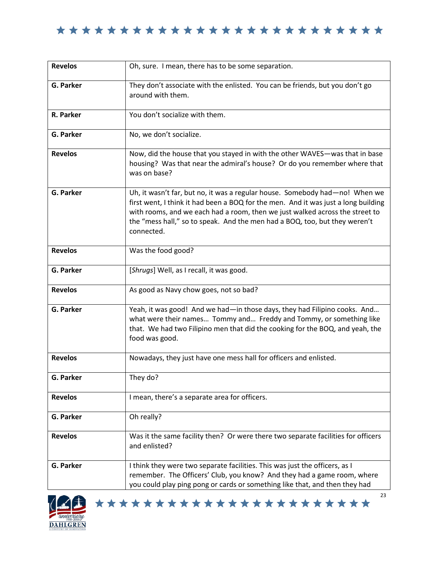| <b>Revelos</b>   | Oh, sure. I mean, there has to be some separation.                                                                                                                                                                                                                                                                                            |
|------------------|-----------------------------------------------------------------------------------------------------------------------------------------------------------------------------------------------------------------------------------------------------------------------------------------------------------------------------------------------|
| G. Parker        | They don't associate with the enlisted. You can be friends, but you don't go<br>around with them.                                                                                                                                                                                                                                             |
| R. Parker        | You don't socialize with them.                                                                                                                                                                                                                                                                                                                |
| <b>G. Parker</b> | No, we don't socialize.                                                                                                                                                                                                                                                                                                                       |
| <b>Revelos</b>   | Now, did the house that you stayed in with the other WAVES-was that in base<br>housing? Was that near the admiral's house? Or do you remember where that<br>was on base?                                                                                                                                                                      |
| <b>G. Parker</b> | Uh, it wasn't far, but no, it was a regular house. Somebody had-no! When we<br>first went, I think it had been a BOQ for the men. And it was just a long building<br>with rooms, and we each had a room, then we just walked across the street to<br>the "mess hall," so to speak. And the men had a BOQ, too, but they weren't<br>connected. |
| <b>Revelos</b>   | Was the food good?                                                                                                                                                                                                                                                                                                                            |
| <b>G. Parker</b> | [Shrugs] Well, as I recall, it was good.                                                                                                                                                                                                                                                                                                      |
| <b>Revelos</b>   | As good as Navy chow goes, not so bad?                                                                                                                                                                                                                                                                                                        |
| <b>G. Parker</b> | Yeah, it was good! And we had-in those days, they had Filipino cooks. And<br>what were their names Tommy and Freddy and Tommy, or something like<br>that. We had two Filipino men that did the cooking for the BOQ, and yeah, the<br>food was good.                                                                                           |
| <b>Revelos</b>   | Nowadays, they just have one mess hall for officers and enlisted.                                                                                                                                                                                                                                                                             |
| G. Parker        | They do?                                                                                                                                                                                                                                                                                                                                      |
| <b>Revelos</b>   | I mean, there's a separate area for officers.                                                                                                                                                                                                                                                                                                 |
| G. Parker        | Oh really?                                                                                                                                                                                                                                                                                                                                    |
| <b>Revelos</b>   | Was it the same facility then? Or were there two separate facilities for officers<br>and enlisted?                                                                                                                                                                                                                                            |
| G. Parker        | I think they were two separate facilities. This was just the officers, as I<br>remember. The Officers' Club, you know? And they had a game room, where<br>you could play ping pong or cards or something like that, and then they had                                                                                                         |



\*\*\*\*\*\*\*\*\*\*\*\*\*\*\*\*\*\*\*\*\*\*\*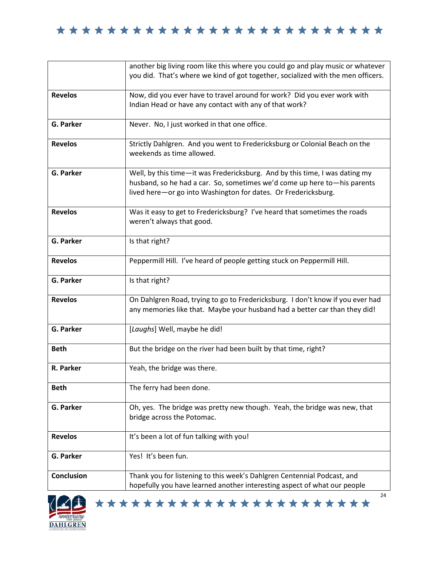|                   | another big living room like this where you could go and play music or whatever<br>you did. That's where we kind of got together, socialized with the men officers.                                                       |
|-------------------|---------------------------------------------------------------------------------------------------------------------------------------------------------------------------------------------------------------------------|
|                   |                                                                                                                                                                                                                           |
| <b>Revelos</b>    | Now, did you ever have to travel around for work? Did you ever work with<br>Indian Head or have any contact with any of that work?                                                                                        |
| G. Parker         | Never. No, I just worked in that one office.                                                                                                                                                                              |
| <b>Revelos</b>    | Strictly Dahlgren. And you went to Fredericksburg or Colonial Beach on the<br>weekends as time allowed.                                                                                                                   |
| G. Parker         | Well, by this time-it was Fredericksburg. And by this time, I was dating my<br>husband, so he had a car. So, sometimes we'd come up here to-his parents<br>lived here-or go into Washington for dates. Or Fredericksburg. |
| <b>Revelos</b>    | Was it easy to get to Fredericksburg? I've heard that sometimes the roads<br>weren't always that good.                                                                                                                    |
| <b>G. Parker</b>  | Is that right?                                                                                                                                                                                                            |
| <b>Revelos</b>    | Peppermill Hill. I've heard of people getting stuck on Peppermill Hill.                                                                                                                                                   |
| G. Parker         | Is that right?                                                                                                                                                                                                            |
| <b>Revelos</b>    | On Dahlgren Road, trying to go to Fredericksburg. I don't know if you ever had<br>any memories like that. Maybe your husband had a better car than they did!                                                              |
| G. Parker         | [Laughs] Well, maybe he did!                                                                                                                                                                                              |
| <b>Beth</b>       | But the bridge on the river had been built by that time, right?                                                                                                                                                           |
| R. Parker         | Yeah, the bridge was there.                                                                                                                                                                                               |
| <b>Beth</b>       | The ferry had been done.                                                                                                                                                                                                  |
| G. Parker         | Oh, yes. The bridge was pretty new though. Yeah, the bridge was new, that<br>bridge across the Potomac.                                                                                                                   |
| <b>Revelos</b>    | It's been a lot of fun talking with you!                                                                                                                                                                                  |
| G. Parker         | Yes! It's been fun.                                                                                                                                                                                                       |
| <b>Conclusion</b> | Thank you for listening to this week's Dahlgren Centennial Podcast, and<br>hopefully you have learned another interesting aspect of what our people                                                                       |

\*\*\*\*\*\*\*\*\*\*\*\*\*\*\*\*\*\*\*\*\*\*\*